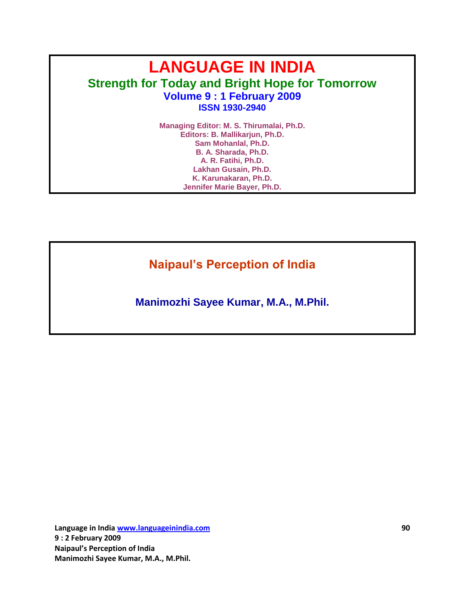# **LANGUAGE IN INDIA Strength for Today and Bright Hope for Tomorrow Volume 9 : 1 February 2009 ISSN 1930-2940**

**Managing Editor: M. S. Thirumalai, Ph.D. Editors: B. Mallikarjun, Ph.D. Sam Mohanlal, Ph.D. B. A. Sharada, Ph.D. A. R. Fatihi, Ph.D. Lakhan Gusain, Ph.D. K. Karunakaran, Ph.D. Jennifer Marie Bayer, Ph.D.**

**Naipaul's Perception of India**

**Manimozhi Sayee Kumar, M.A., M.Phil.**

**Language in India www.languageinindia.com 90 9 : 2 February 2009 Naipaul's Perception of India Manimozhi Sayee Kumar, M.A., M.Phil.**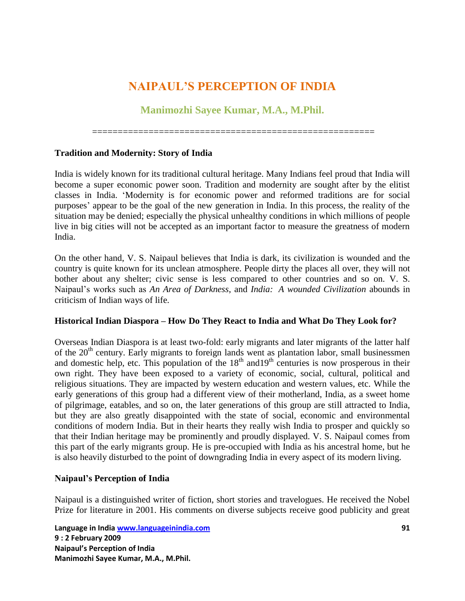# **NAIPAUL'S PERCEPTION OF INDIA**

# **Manimozhi Sayee Kumar, M.A., M.Phil.**

=======================================================

### **Tradition and Modernity: Story of India**

India is widely known for its traditional cultural heritage. Many Indians feel proud that India will become a super economic power soon. Tradition and modernity are sought after by the elitist classes in India. "Modernity is for economic power and reformed traditions are for social purposes" appear to be the goal of the new generation in India. In this process, the reality of the situation may be denied; especially the physical unhealthy conditions in which millions of people live in big cities will not be accepted as an important factor to measure the greatness of modern India.

On the other hand, V. S. Naipaul believes that India is dark, its civilization is wounded and the country is quite known for its unclean atmosphere. People dirty the places all over, they will not bother about any shelter; civic sense is less compared to other countries and so on. V. S. Naipaul"s works such as *An Area of Darkness*, and *India: A wounded Civilization* abounds in criticism of Indian ways of life.

### **Historical Indian Diaspora – How Do They React to India and What Do They Look for?**

Overseas Indian Diaspora is at least two-fold: early migrants and later migrants of the latter half of the 20<sup>th</sup> century. Early migrants to foreign lands went as plantation labor, small businessmen and domestic help, etc. This population of the  $18<sup>th</sup>$  and  $19<sup>th</sup>$  centuries is now prosperous in their own right. They have been exposed to a variety of economic, social, cultural, political and religious situations. They are impacted by western education and western values, etc. While the early generations of this group had a different view of their motherland, India, as a sweet home of pilgrimage, eatables, and so on, the later generations of this group are still attracted to India, but they are also greatly disappointed with the state of social, economic and environmental conditions of modern India. But in their hearts they really wish India to prosper and quickly so that their Indian heritage may be prominently and proudly displayed. V. S. Naipaul comes from this part of the early migrants group. He is pre-occupied with India as his ancestral home, but he is also heavily disturbed to the point of downgrading India in every aspect of its modern living.

### **Naipaul's Perception of India**

Naipaul is a distinguished writer of fiction, short stories and travelogues. He received the Nobel Prize for literature in 2001. His comments on diverse subjects receive good publicity and great

**Language in India www.languageinindia.com 91 9 : 2 February 2009 Naipaul's Perception of India Manimozhi Sayee Kumar, M.A., M.Phil.**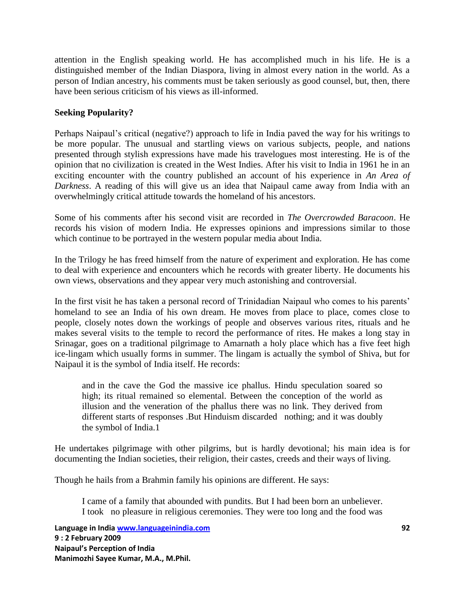attention in the English speaking world. He has accomplished much in his life. He is a distinguished member of the Indian Diaspora, living in almost every nation in the world. As a person of Indian ancestry, his comments must be taken seriously as good counsel, but, then, there have been serious criticism of his views as ill-informed.

# **Seeking Popularity?**

Perhaps Naipaul's critical (negative?) approach to life in India paved the way for his writings to be more popular. The unusual and startling views on various subjects, people, and nations presented through stylish expressions have made his travelogues most interesting. He is of the opinion that no civilization is created in the West Indies. After his visit to India in 1961 he in an exciting encounter with the country published an account of his experience in *An Area of Darkness*. A reading of this will give us an idea that Naipaul came away from India with an overwhelmingly critical attitude towards the homeland of his ancestors.

Some of his comments after his second visit are recorded in *The Overcrowded Baracoon*. He records his vision of modern India. He expresses opinions and impressions similar to those which continue to be portrayed in the western popular media about India.

In the Trilogy he has freed himself from the nature of experiment and exploration. He has come to deal with experience and encounters which he records with greater liberty. He documents his own views, observations and they appear very much astonishing and controversial.

In the first visit he has taken a personal record of Trinidadian Naipaul who comes to his parents" homeland to see an India of his own dream. He moves from place to place, comes close to people, closely notes down the workings of people and observes various rites, rituals and he makes several visits to the temple to record the performance of rites. He makes a long stay in Srinagar, goes on a traditional pilgrimage to Amarnath a holy place which has a five feet high ice-lingam which usually forms in summer. The lingam is actually the symbol of Shiva, but for Naipaul it is the symbol of India itself. He records:

and in the cave the God the massive ice phallus. Hindu speculation soared so high; its ritual remained so elemental. Between the conception of the world as illusion and the veneration of the phallus there was no link. They derived from different starts of responses .But Hinduism discarded nothing; and it was doubly the symbol of India.1

He undertakes pilgrimage with other pilgrims, but is hardly devotional; his main idea is for documenting the Indian societies, their religion, their castes, creeds and their ways of living.

Though he hails from a Brahmin family his opinions are different. He says:

I came of a family that abounded with pundits. But I had been born an unbeliever. I took no pleasure in religious ceremonies. They were too long and the food was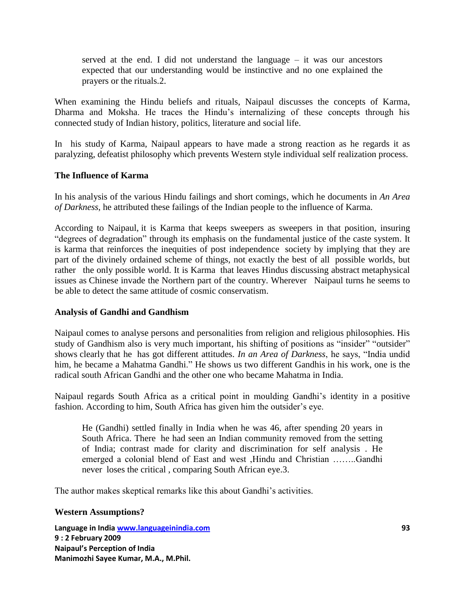served at the end. I did not understand the language – it was our ancestors expected that our understanding would be instinctive and no one explained the prayers or the rituals.2.

When examining the Hindu beliefs and rituals, Naipaul discusses the concepts of Karma, Dharma and Moksha. He traces the Hindu"s internalizing of these concepts through his connected study of Indian history, politics, literature and social life.

In his study of Karma, Naipaul appears to have made a strong reaction as he regards it as paralyzing, defeatist philosophy which prevents Western style individual self realization process.

#### **The Influence of Karma**

In his analysis of the various Hindu failings and short comings, which he documents in *An Area of Darkness*, he attributed these failings of the Indian people to the influence of Karma.

According to Naipaul, it is Karma that keeps sweepers as sweepers in that position, insuring "degrees of degradation" through its emphasis on the fundamental justice of the caste system. It is karma that reinforces the inequities of post independence society by implying that they are part of the divinely ordained scheme of things, not exactly the best of all possible worlds, but rather the only possible world. It is Karma that leaves Hindus discussing abstract metaphysical issues as Chinese invade the Northern part of the country. Wherever Naipaul turns he seems to be able to detect the same attitude of cosmic conservatism.

#### **Analysis of Gandhi and Gandhism**

Naipaul comes to analyse persons and personalities from religion and religious philosophies. His study of Gandhism also is very much important, his shifting of positions as "insider" "outsider" shows clearly that he has got different attitudes. *In an Area of Darkness*, he says, "India undid him, he became a Mahatma Gandhi." He shows us two different Gandhis in his work, one is the radical south African Gandhi and the other one who became Mahatma in India.

Naipaul regards South Africa as a critical point in moulding Gandhi"s identity in a positive fashion. According to him, South Africa has given him the outsider's eye.

He (Gandhi) settled finally in India when he was 46, after spending 20 years in South Africa. There he had seen an Indian community removed from the setting of India; contrast made for clarity and discrimination for self analysis . He emerged a colonial blend of East and west ,Hindu and Christian ……..Gandhi never loses the critical , comparing South African eye.3.

The author makes skeptical remarks like this about Gandhi"s activities.

### **Western Assumptions?**

**Language in India www.languageinindia.com 93 9 : 2 February 2009 Naipaul's Perception of India Manimozhi Sayee Kumar, M.A., M.Phil.**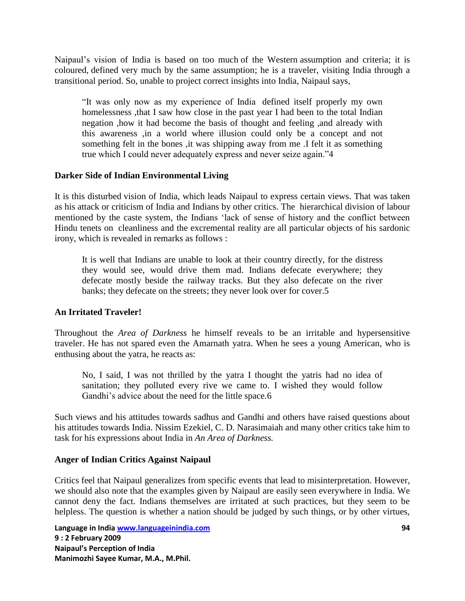Naipaul"s vision of India is based on too much of the Western assumption and criteria; it is coloured, defined very much by the same assumption; he is a traveler, visiting India through a transitional period. So, unable to project correct insights into India, Naipaul says,

"It was only now as my experience of India defined itself properly my own homelessness ,that I saw how close in the past year I had been to the total Indian negation ,how it had become the basis of thought and feeling ,and already with this awareness ,in a world where illusion could only be a concept and not something felt in the bones ,it was shipping away from me .I felt it as something true which I could never adequately express and never seize again."4

#### **Darker Side of Indian Environmental Living**

It is this disturbed vision of India, which leads Naipaul to express certain views. That was taken as his attack or criticism of India and Indians by other critics. The hierarchical division of labour mentioned by the caste system, the Indians "lack of sense of history and the conflict between Hindu tenets on cleanliness and the excremental reality are all particular objects of his sardonic irony, which is revealed in remarks as follows :

It is well that Indians are unable to look at their country directly, for the distress they would see, would drive them mad. Indians defecate everywhere; they defecate mostly beside the railway tracks. But they also defecate on the river banks; they defecate on the streets; they never look over for cover.5

#### **An Irritated Traveler!**

Throughout the *Area of Darkness* he himself reveals to be an irritable and hypersensitive traveler. He has not spared even the Amarnath yatra. When he sees a young American, who is enthusing about the yatra, he reacts as:

No, I said, I was not thrilled by the yatra I thought the yatris had no idea of sanitation; they polluted every rive we came to. I wished they would follow Gandhi's advice about the need for the little space.6

Such views and his attitudes towards sadhus and Gandhi and others have raised questions about his attitudes towards India. Nissim Ezekiel, C. D. Narasimaiah and many other critics take him to task for his expressions about India in *An Area of Darkness.*

### **Anger of Indian Critics Against Naipaul**

Critics feel that Naipaul generalizes from specific events that lead to misinterpretation. However, we should also note that the examples given by Naipaul are easily seen everywhere in India. We cannot deny the fact. Indians themselves are irritated at such practices, but they seem to be helpless. The question is whether a nation should be judged by such things, or by other virtues,

**Language in India www.languageinindia.com 94 9 : 2 February 2009 Naipaul's Perception of India Manimozhi Sayee Kumar, M.A., M.Phil.**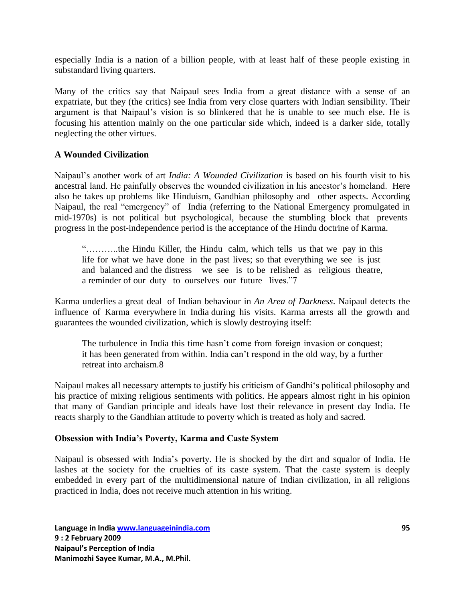especially India is a nation of a billion people, with at least half of these people existing in substandard living quarters.

Many of the critics say that Naipaul sees India from a great distance with a sense of an expatriate, but they (the critics) see India from very close quarters with Indian sensibility. Their argument is that Naipaul"s vision is so blinkered that he is unable to see much else. He is focusing his attention mainly on the one particular side which, indeed is a darker side, totally neglecting the other virtues.

### **A Wounded Civilization**

Naipaul"s another work of art *India: A Wounded Civilization* is based on his fourth visit to his ancestral land. He painfully observes the wounded civilization in his ancestor's homeland. Here also he takes up problems like Hinduism, Gandhian philosophy and other aspects. According Naipaul, the real "emergency" of India (referring to the National Emergency promulgated in mid-1970s) is not political but psychological, because the stumbling block that prevents progress in the post-independence period is the acceptance of the Hindu doctrine of Karma.

"………..the Hindu Killer, the Hindu calm, which tells us that we pay in this life for what we have done in the past lives; so that everything we see is just and balanced and the distress we see is to be relished as religious theatre, a reminder of our duty to ourselves our future lives."7

Karma underlies a great deal of Indian behaviour in *An Area of Darkness*. Naipaul detects the influence of Karma everywhere in India during his visits. Karma arrests all the growth and guarantees the wounded civilization, which is slowly destroying itself:

The turbulence in India this time hasn"t come from foreign invasion or conquest; it has been generated from within. India can"t respond in the old way, by a further retreat into archaism.8

Naipaul makes all necessary attempts to justify his criticism of Gandhi"s political philosophy and his practice of mixing religious sentiments with politics. He appears almost right in his opinion that many of Gandian principle and ideals have lost their relevance in present day India. He reacts sharply to the Gandhian attitude to poverty which is treated as holy and sacred.

### **Obsession with India's Poverty, Karma and Caste System**

Naipaul is obsessed with India"s poverty. He is shocked by the dirt and squalor of India. He lashes at the society for the cruelties of its caste system. That the caste system is deeply embedded in every part of the multidimensional nature of Indian civilization, in all religions practiced in India, does not receive much attention in his writing.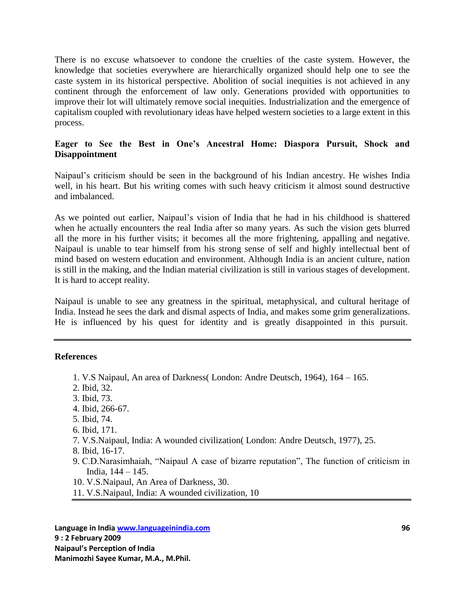There is no excuse whatsoever to condone the cruelties of the caste system. However, the knowledge that societies everywhere are hierarchically organized should help one to see the caste system in its historical perspective. Abolition of social inequities is not achieved in any continent through the enforcement of law only. Generations provided with opportunities to improve their lot will ultimately remove social inequities. Industrialization and the emergence of capitalism coupled with revolutionary ideas have helped western societies to a large extent in this process.

# **Eager to See the Best in One's Ancestral Home: Diaspora Pursuit, Shock and Disappointment**

Naipaul"s criticism should be seen in the background of his Indian ancestry. He wishes India well, in his heart. But his writing comes with such heavy criticism it almost sound destructive and imbalanced.

As we pointed out earlier, Naipaul"s vision of India that he had in his childhood is shattered when he actually encounters the real India after so many years. As such the vision gets blurred all the more in his further visits; it becomes all the more frightening, appalling and negative. Naipaul is unable to tear himself from his strong sense of self and highly intellectual bent of mind based on western education and environment. Although India is an ancient culture, nation is still in the making, and the Indian material civilization is still in various stages of development. It is hard to accept reality.

Naipaul is unable to see any greatness in the spiritual, metaphysical, and cultural heritage of India. Instead he sees the dark and dismal aspects of India, and makes some grim generalizations. He is influenced by his quest for identity and is greatly disappointed in this pursuit.

### **References**

- 1. V.S Naipaul, An area of Darkness( London: Andre Deutsch, 1964), 164 165.
- 2. Ibid, 32.
- 3. Ibid, 73.
- 4. Ibid, 266-67.
- 5. Ibid, 74.
- 6. Ibid, 171.
- 7. V.S.Naipaul, India: A wounded civilization( London: Andre Deutsch, 1977), 25.
- 8. Ibid, 16-17.
- 9. C.D.Narasimhaiah, "Naipaul A case of bizarre reputation", The function of criticism in India, 144 – 145.
- 10. V.S.Naipaul, An Area of Darkness, 30.
- 11. V.S.Naipaul, India: A wounded civilization, 10

**Language in India www.languageinindia.com 96 9 : 2 February 2009 Naipaul's Perception of India Manimozhi Sayee Kumar, M.A., M.Phil.**